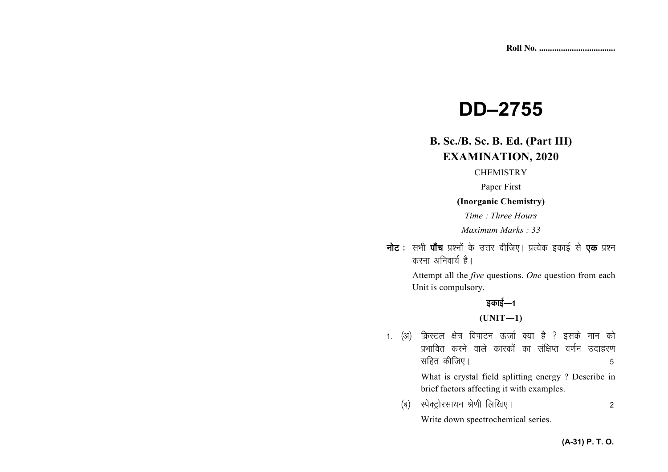# **DD–2755**

## **B. Sc./B. Sc. B. Ed. (Part III) EXAMINATION, 2020**

#### **CHEMISTRY**

Paper First

#### **(Inorganic Chemistry)**

*Time : Three Hours* 

*Maximum Marks : 33*

**नोट** : सभी **पाँच** प्रश्नों के उत्तर दीजिए। प्रत्येक इकाई से **एक** प्रश्न *करना अनिवार्य* है।

> Attempt all the *five* questions. *One* question from each Unit is compulsory.

# *sकाई—1*

**(UNIT—1)** 

- 1. (अ) क्रिस्टल क्षेत्र विपाटन ऊर्जा क्या है ? इसके मान को *izHkkfor djus okys dkjdksa dk laf{kIr o.kZu mnkgj.k lfgr dhft,A 5* What is crystal field splitting energy ? Describe in brief factors affecting it with examples.
	- *¼c½ LisDVªksjlk;u Js.kh fyf[k,A 2* Write down spectrochemical series.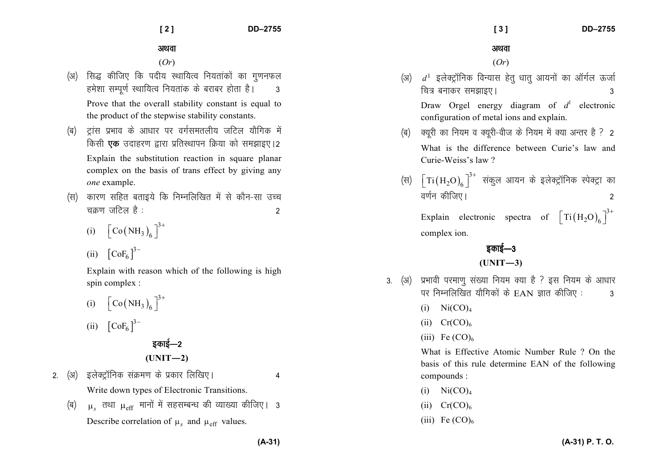#### अथवा

(*Or*)

(अ)  $\,$  *d*<sup>1</sup> इलेक्ट्रॉनिक विन्यास हेतु धातु आयनों का ऑर्गल ऊर्जा *fp= cukdj le>kb,A 3* 

Draw Orgel energy diagram of  $d<sup>1</sup>$  electronic configuration of metal ions and explain.

- *¼c½ D;wjh dk fu;e o D;wjh*&*oht ds fu;e esa D;k vUrj gS \ 2* What is the difference between Curie's law and Curie-Weiss's law ?
- (स)  $\left[\text{Ti}\left(\text{H}_{2}\text{O}\right)_{\text{6}}\right]^{3+}$  संकुल आयन के इलेक्ट्रॉनिक स्पेक्ट्रा का *o.kZu dhft,A 2*

Explain electronic spectra of  $\left[\text{Ti}(\text{H}_2\text{O})_6\right]^{3+}$ complex ion.

## *bdkbZ*&*<sup>3</sup>***(UNIT—3)**

- 3. (अ) प्रभावी परमाण संख्या नियम क्या है ? इस नियम के आधार *ij fuEufyf[kr ;kSfxdksa ds* EAN *Kkr dhft, % 3* 
	- $(i)$  Ni $(CO)<sub>4</sub>$
	- (ii)  $Cr(CO)<sub>6</sub>$
	- (iii) Fe  $(CO)<sub>6</sub>$

What is Effective Atomic Number Rule ? On the basis of this rule determine EAN of the following compounds :

- $(i)$  Ni $(CO)<sub>4</sub>$
- $(ii)$  Cr(CO)<sub>6</sub>
- (iii) Fe  $(CO)<sub>6</sub>$

अथवा

(*Or*)

- *(अ)* सिद्ध कीजिए कि पदीय स्थायित्व नियतांकों का गुणनफल हमेशा सम्पूर्ण स्थायित्व नियतांक के बराबर होता है। **3** Prove that the overall stability constant is equal to the product of the stepwise stability constants.
- *(*ब) टांस प्रभाव के आधार पर वर्गसमतलीय जटिल यौगिक में *किसी एक उदाहरण द्वारा प्रतिस्थापन क्रिया को समझाइए।2* Explain the substitution reaction in square planar complex on the basis of trans effect by giving any *one* example.
- *(*स) कारण सहित बताइये कि निम्नलिखित में से कौन-सा उच्च *pØ.k tfVy gS % 2* 
	- (i)  $\left[ \text{Co(NH}_3)_{6} \right]^{3+}$

$$
(ii) \quad \left[CoF_6\,\right]^{3-}
$$

Explain with reason which of the following is high spin complex :

(i)  $\left[ \text{Co(NH}_3)_{6} \right]^{3+}$ (ii)  $[CoF_6]^{3-}$ 

*bdkbZ*&*<sup>2</sup>***(UNIT—2)** 

- *2- ¼v½ bysDVªkWfud laØe.k ds izdkj fyf[k,A 4* Write down types of Electronic Transitions.
	- *¼c½*  $\mu_{s}$  तथा  $\mu_{\rm eff}$  मानों में सहसम्बन्ध की व्याख्या कीजिए। 3 Describe correlation of  $\mu_s$  and  $\mu_{\text{eff}}$  values.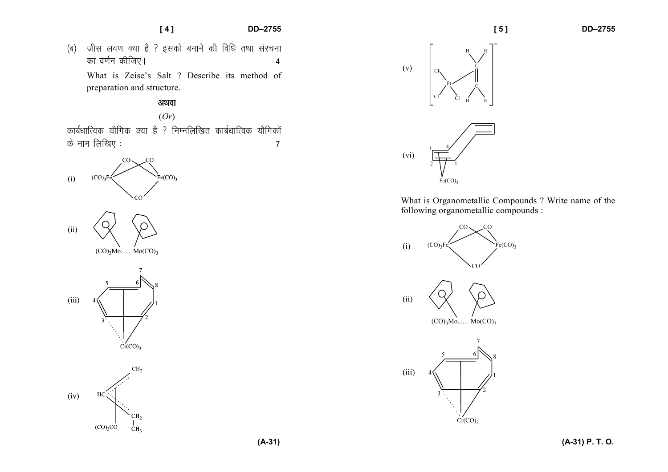#### **[ 4 ] DD–2755**

*¼c½ thl yo.k D;k gS \ bldks cukus dh fof/k rFkk lajpuk dk o.kZu dhft,A 4* What is Zeise's Salt ? Describe its method of preparation and structure.

### अथवा

(*Or*)

*कार्बधात्विक यौगिक क्या है ? निम्नलिखित कार्बधात्विक यौगिकों ds uke fyf[k, % 7* 





What is Organometallic Compounds ? Write name of the following organometallic compounds :

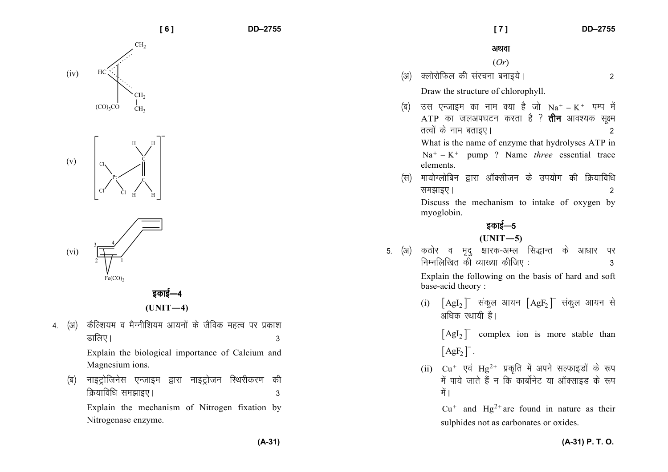

Explain the mechanism of Nitrogen fixation by Nitrogenase enzyme.

|                      | [7]                                                                                                                                                                                                                                                           | <b>DD-2755</b> |
|----------------------|---------------------------------------------------------------------------------------------------------------------------------------------------------------------------------------------------------------------------------------------------------------|----------------|
|                      | अथवा                                                                                                                                                                                                                                                          |                |
|                      | (Or)                                                                                                                                                                                                                                                          |                |
| (अ)                  | क्लोरोफिल की संरचना बनाइये।                                                                                                                                                                                                                                   | 2              |
|                      | Draw the structure of chlorophyll.                                                                                                                                                                                                                            |                |
| (ब)                  | उस एन्जाइम का नाम क्या है जो $Na^{+} - K^{+}$ पम्प में<br>ATP का जलअपघटन करता है ? <b>तीन</b> आवश्यक सूक्ष्म<br>तत्वों के नाम बताइए।<br>What is the name of enzyme that hydrolyses ATP in<br>$Na+ - K+$ pump ? Name <i>three</i> essential trace<br>elements. | $\overline{2}$ |
| (स)                  | मायोग्लोबिन द्वारा ऑक्सीजन के उपयोग की क्रियाविधि<br>समझाइए।<br>Discuss the mechanism to intake of oxygen by                                                                                                                                                  | 2              |
|                      | myoglobin.                                                                                                                                                                                                                                                    |                |
| इकाई—5<br>$(UNIT-5)$ |                                                                                                                                                                                                                                                               |                |
| 5.                   | (अ) कठोर व मृदु क्षारक-अम्ल सिद्धान्त के आधार<br>निम्नलिखित की व्याख्या कीजिए:<br>Explain the following on the basis of hard and soft                                                                                                                         | पर<br>3        |
|                      | base-acid theory:                                                                                                                                                                                                                                             |                |
|                      | $\lceil \text{AgI}_2 \rceil$ संकुल आयन $\lceil \text{AgF}_2 \rceil$ संकुल आयन से<br>(i)<br>अधिक स्थायी है।                                                                                                                                                    |                |
|                      | $\lceil \text{AgI}_2 \rceil$ complex ion is more stable than<br>$[AgF_2]$ .                                                                                                                                                                                   |                |
|                      | (ii) $Cu^+$ एवं Hg <sup>2+</sup> प्रकृति में अपने सल्फाइडों के रूप<br>में पाये जाते हैं न कि कार्बोनेट या ऑक्साइड के रूप<br>में ।                                                                                                                             |                |
|                      | $Cu+$ and Hg <sup>2+</sup> are found in nature as their<br>sulphides not as carbonates or oxides.                                                                                                                                                             |                |